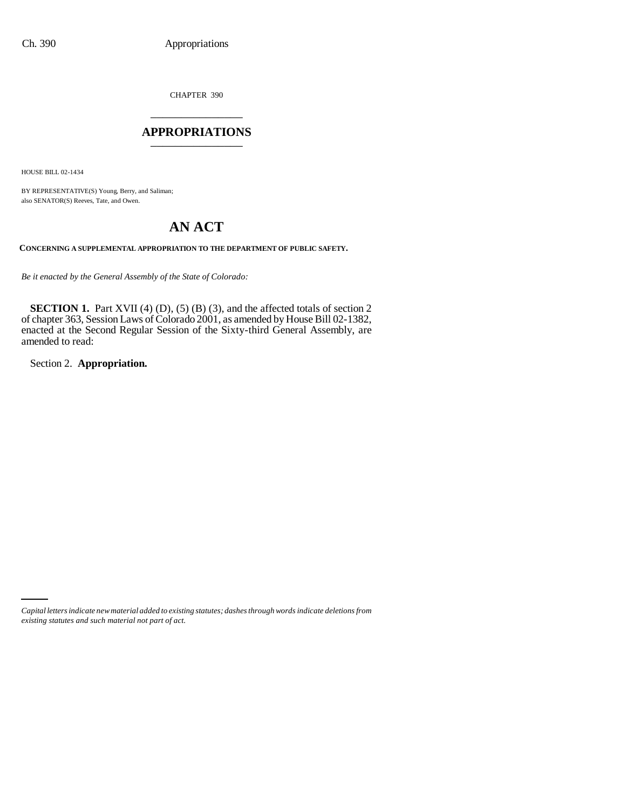CHAPTER 390 \_\_\_\_\_\_\_\_\_\_\_\_\_\_\_

#### **APPROPRIATIONS** \_\_\_\_\_\_\_\_\_\_\_\_\_\_\_

HOUSE BILL 02-1434

BY REPRESENTATIVE(S) Young, Berry, and Saliman; also SENATOR(S) Reeves, Tate, and Owen.

# **AN ACT**

**CONCERNING A SUPPLEMENTAL APPROPRIATION TO THE DEPARTMENT OF PUBLIC SAFETY.**

*Be it enacted by the General Assembly of the State of Colorado:*

**SECTION 1.** Part XVII (4) (D), (5) (B) (3), and the affected totals of section 2 of chapter 363, Session Laws of Colorado 2001, as amended by House Bill 02-1382, enacted at the Second Regular Session of the Sixty-third General Assembly, are amended to read:

Section 2. **Appropriation.**

*Capital letters indicate new material added to existing statutes; dashes through words indicate deletions from existing statutes and such material not part of act.*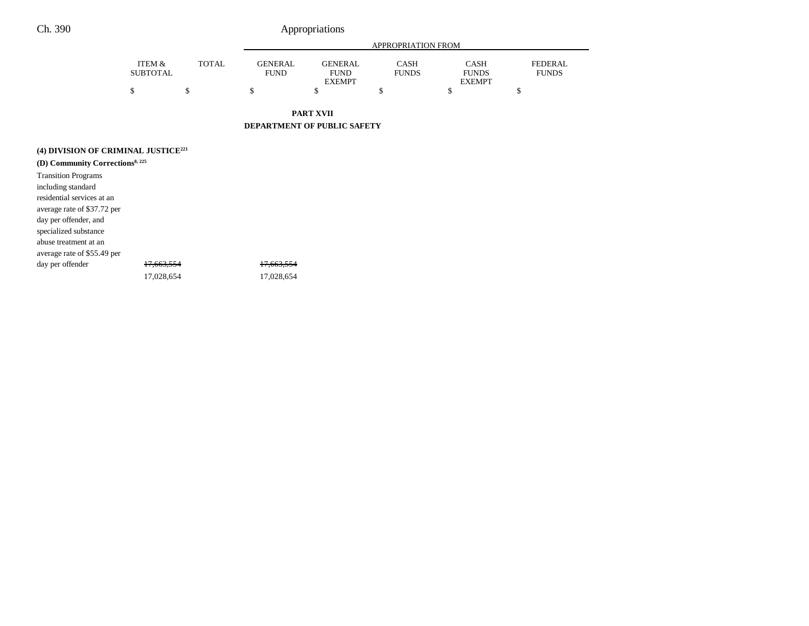### Ch. 390 Appropriations

|                 |              | APPROPRIATION FROM |               |              |               |              |  |
|-----------------|--------------|--------------------|---------------|--------------|---------------|--------------|--|
| ITEM &          | <b>TOTAL</b> | <b>GENERAL</b>     | GENERAL       | <b>CASH</b>  | <b>CASH</b>   | FEDERAL      |  |
| <b>SUBTOTAL</b> |              | FUND               | <b>FUND</b>   | <b>FUNDS</b> | <b>FUNDS</b>  | <b>FUNDS</b> |  |
|                 |              |                    | <b>EXEMPT</b> |              | <b>EXEMPT</b> |              |  |
|                 |              |                    |               |              |               |              |  |
|                 |              |                    |               |              |               |              |  |

**PART XVII**

**DEPARTMENT OF PUBLIC SAFETY**

| (4) DIVISION OF CRIMINAL JUSTICE <sup>221</sup> |  |
|-------------------------------------------------|--|
| (D) Community Corrections <sup>8, 225</sup>     |  |

| <b>Transition Programs</b>  |                       |                       |
|-----------------------------|-----------------------|-----------------------|
| including standard          |                       |                       |
| residential services at an  |                       |                       |
| average rate of \$37.72 per |                       |                       |
| day per offender, and       |                       |                       |
| specialized substance       |                       |                       |
| abuse treatment at an       |                       |                       |
| average rate of \$55.49 per |                       |                       |
| day per offender            | <del>17.663.554</del> | <del>17.663.554</del> |
|                             | 17.028.654            | 17,028,654            |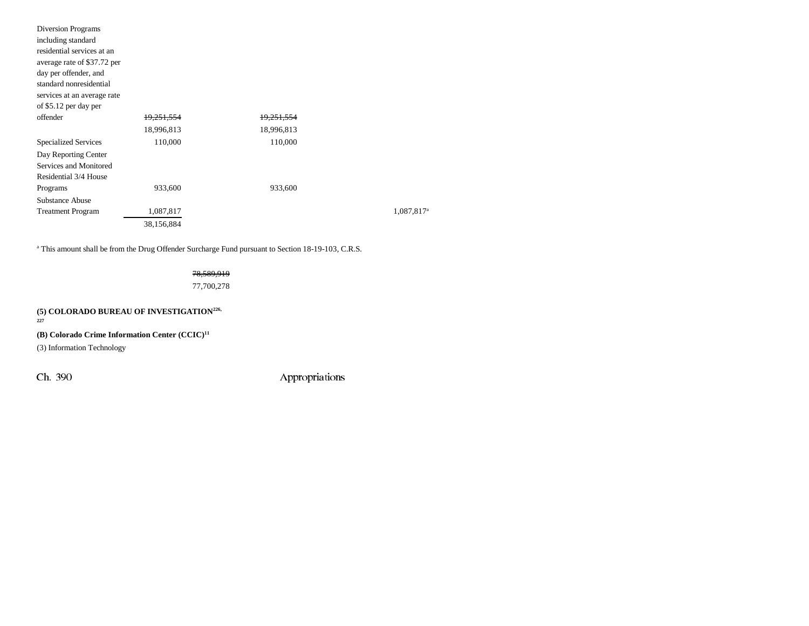| Diversion Programs          |                       |                       |                        |
|-----------------------------|-----------------------|-----------------------|------------------------|
| including standard          |                       |                       |                        |
| residential services at an  |                       |                       |                        |
| average rate of \$37.72 per |                       |                       |                        |
| day per offender, and       |                       |                       |                        |
| standard nonresidential     |                       |                       |                        |
| services at an average rate |                       |                       |                        |
| of \$5.12 per day per       |                       |                       |                        |
| offender                    | <del>19,251,554</del> | <del>19,251,554</del> |                        |
|                             | 18,996,813            | 18,996,813            |                        |
| <b>Specialized Services</b> | 110,000               | 110,000               |                        |
| Day Reporting Center        |                       |                       |                        |
| Services and Monitored      |                       |                       |                        |
| Residential 3/4 House       |                       |                       |                        |
| Programs                    | 933,600               | 933,600               |                        |
| <b>Substance Abuse</b>      |                       |                       |                        |
| <b>Treatment Program</b>    | 1,087,817             |                       | 1,087,817 <sup>a</sup> |
|                             | 38,156,884            |                       |                        |
|                             |                       |                       |                        |

<sup>a</sup> This amount shall be from the Drug Offender Surcharge Fund pursuant to Section 18-19-103, C.R.S.

## 78,589,919

77,700,278

**(5) COLORADO BUREAU OF INVESTIGATION226, 227**

**(B) Colorado Crime Information Center (CCIC)11**

(3) Information Technology

Ch. 390 Appropriations